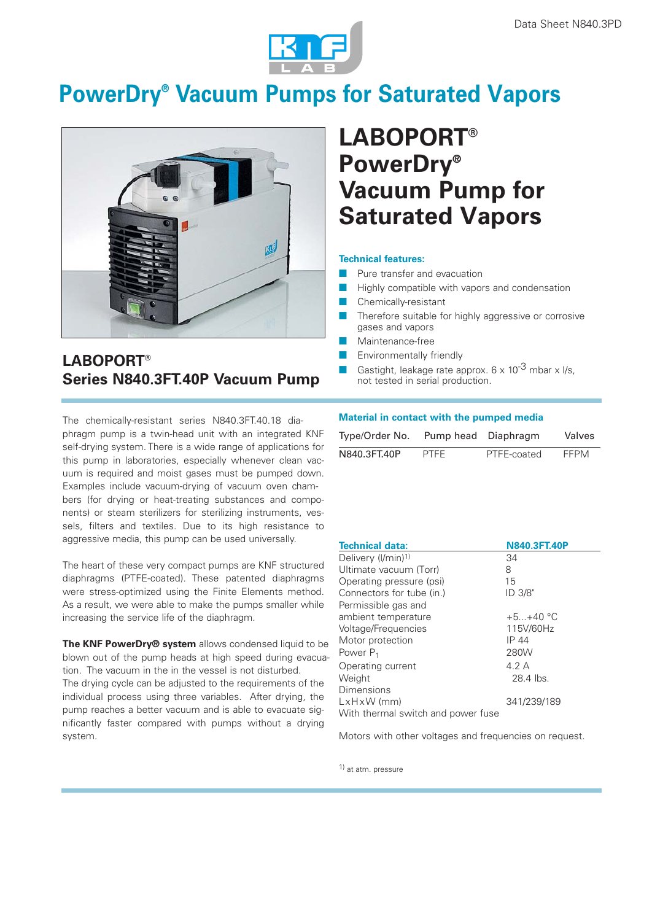

# **PowerDry® Vacuum Pumps for Saturated Vapors**



## **LABOPORT® Series N840.3FT.40P Vacuum Pump**

# **LABOPORT® PowerDry® Vacuum Pump for Saturated Vapors**

#### **Technical features:**

- Pure transfer and evacuation
- Highly compatible with vapors and condensation
- Chemically-resistant
- Therefore suitable for highly aggressive or corrosive gases and vapors
- Maintenance-free
- Environmentally friendly
- Gastight, leakage rate approx.  $6 \times 10^{-3}$  mbar x l/s, not tested in serial production.

The chemically-resistant series N840.3FT.40.18 diaphragm pump is a twin-head unit with an integrated KNF self-drying system. There is a wide range of applications for this pump in laboratories, especially whenever clean vacuum is required and moist gases must be pumped down. Examples include vacuum-drying of vacuum oven chambers (for drying or heat-treating substances and components) or steam sterilizers for sterilizing instruments, vessels, filters and textiles. Due to its high resistance to aggressive media, this pump can be used universally.

The heart of these very compact pumps are KNF structured diaphragms (PTFE-coated). These patented diaphragms were stress-optimized using the Finite Elements method. As a result, we were able to make the pumps smaller while increasing the service life of the diaphragm.

**The KNF PowerDry® system** allows condensed liquid to be blown out of the pump heads at high speed during evacuation. The vacuum in the in the vessel is not disturbed. The drying cycle can be adjusted to the requirements of the individual process using three variables. After drying, the

pump reaches a better vacuum and is able to evacuate significantly faster compared with pumps without a drying system.

## **Material in contact with the pumped media**

| Type/Order No. |             | Pump head Diaphragm | Valves |
|----------------|-------------|---------------------|--------|
| N840.3FT.40P   | <b>PTFF</b> | PTFE-coated         | FFPM   |

| <b>Technical data:</b>             | <b>N840.3FT.40P</b> |
|------------------------------------|---------------------|
| Delivery (I/min) <sup>1)</sup>     | 34                  |
| Ultimate vacuum (Torr)             | 8                   |
| Operating pressure (psi)           | 15                  |
| Connectors for tube (in.)          | ID 3/8"             |
| Permissible gas and                |                     |
| ambient temperature                | $+5+40 °C$          |
| Voltage/Frequencies                | 115V/60Hz           |
| Motor protection                   | IP 44               |
| Power $P_1$                        | 280W                |
| Operating current                  | 4.2A                |
| Weight                             | 28.4 lbs.           |
| Dimensions                         |                     |
| $LxHxW$ (mm)                       | 341/239/189         |
| With thermal switch and power fuse |                     |

Motors with other voltages and frequencies on request.

1) at atm. pressure